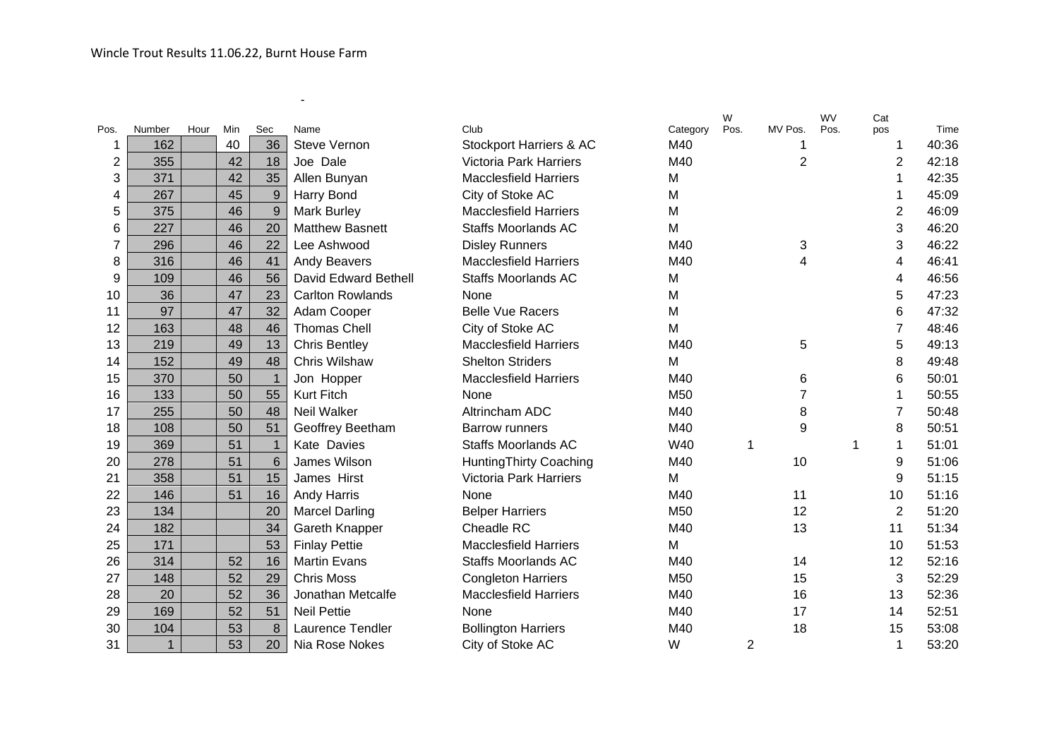-

|                |              |      |     |                |                         |                               |          | W    |                | <b>WV</b> | Cat            |       |
|----------------|--------------|------|-----|----------------|-------------------------|-------------------------------|----------|------|----------------|-----------|----------------|-------|
| Pos.           | Number       | Hour | Min | Sec            | Name                    | Club                          | Category | Pos. | MV Pos.        | Pos.      | pos            | Time  |
|                | 162          |      | 40  | 36             | <b>Steve Vernon</b>     | Stockport Harriers & AC       | M40      |      |                |           | 1              | 40:36 |
| $\overline{2}$ | 355          |      | 42  | 18             | Joe Dale                | <b>Victoria Park Harriers</b> | M40      |      | $\overline{2}$ |           | $\overline{2}$ | 42:18 |
| 3              | 371          |      | 42  | 35             | Allen Bunyan            | <b>Macclesfield Harriers</b>  | M        |      |                |           | 1              | 42:35 |
| 4              | 267          |      | 45  | $\overline{9}$ | Harry Bond              | City of Stoke AC              | M        |      |                |           |                | 45:09 |
| 5              | 375          |      | 46  | 9              | <b>Mark Burley</b>      | <b>Macclesfield Harriers</b>  | M        |      |                |           | $\overline{2}$ | 46:09 |
| 6              | 227          |      | 46  | 20             | <b>Matthew Basnett</b>  | <b>Staffs Moorlands AC</b>    | M        |      |                |           | 3              | 46:20 |
| 7              | 296          |      | 46  | 22             | Lee Ashwood             | <b>Disley Runners</b>         | M40      |      | 3              |           | 3              | 46:22 |
| 8              | 316          |      | 46  | 41             | Andy Beavers            | <b>Macclesfield Harriers</b>  | M40      |      | 4              |           | 4              | 46:41 |
| 9              | 109          |      | 46  | 56             | David Edward Bethell    | <b>Staffs Moorlands AC</b>    | M        |      |                |           | 4              | 46:56 |
| 10             | 36           |      | 47  | 23             | <b>Carlton Rowlands</b> | None                          | M        |      |                |           | 5              | 47:23 |
| 11             | 97           |      | 47  | 32             | Adam Cooper             | <b>Belle Vue Racers</b>       | M        |      |                |           | 6              | 47:32 |
| 12             | 163          |      | 48  | 46             | <b>Thomas Chell</b>     | City of Stoke AC              | M        |      |                |           | $\overline{7}$ | 48:46 |
| 13             | 219          |      | 49  | 13             | <b>Chris Bentley</b>    | <b>Macclesfield Harriers</b>  | M40      |      | 5              |           | 5              | 49:13 |
| 14             | 152          |      | 49  | 48             | Chris Wilshaw           | <b>Shelton Striders</b>       | M        |      |                |           | 8              | 49:48 |
| 15             | 370          |      | 50  | $\mathbf{1}$   | Jon Hopper              | <b>Macclesfield Harriers</b>  | M40      |      | 6              |           | 6              | 50:01 |
| 16             | 133          |      | 50  | 55             | <b>Kurt Fitch</b>       | None                          | M50      |      |                |           | 1              | 50:55 |
| 17             | 255          |      | 50  | 48             | Neil Walker             | Altrincham ADC                | M40      |      | 8              |           | 7              | 50:48 |
| 18             | 108          |      | 50  | 51             | Geoffrey Beetham        | <b>Barrow runners</b>         | M40      |      | 9              |           | 8              | 50:51 |
| 19             | 369          |      | 51  | $\mathbf{1}$   | Kate Davies             | <b>Staffs Moorlands AC</b>    | W40      | 1    |                | 1         | 1              | 51:01 |
| 20             | 278          |      | 51  | 6              | James Wilson            | <b>HuntingThirty Coaching</b> | M40      |      | 10             |           | 9              | 51:06 |
| 21             | 358          |      | 51  | 15             | James Hirst             | <b>Victoria Park Harriers</b> | M        |      |                |           | 9              | 51:15 |
| 22             | 146          |      | 51  | 16             | <b>Andy Harris</b>      | None                          | M40      |      | 11             |           | 10             | 51:16 |
| 23             | 134          |      |     | 20             | <b>Marcel Darling</b>   | <b>Belper Harriers</b>        | M50      |      | 12             |           | 2              | 51:20 |
| 24             | 182          |      |     | 34             | Gareth Knapper          | Cheadle RC                    | M40      |      | 13             |           | 11             | 51:34 |
| 25             | 171          |      |     | 53             | <b>Finlay Pettie</b>    | <b>Macclesfield Harriers</b>  | M        |      |                |           | 10             | 51:53 |
| 26             | 314          |      | 52  | 16             | <b>Martin Evans</b>     | <b>Staffs Moorlands AC</b>    | M40      |      | 14             |           | 12             | 52:16 |
| 27             | 148          |      | 52  | 29             | <b>Chris Moss</b>       | <b>Congleton Harriers</b>     | M50      |      | 15             |           | 3              | 52:29 |
| 28             | 20           |      | 52  | 36             | Jonathan Metcalfe       | <b>Macclesfield Harriers</b>  | M40      |      | 16             |           | 13             | 52:36 |
| 29             | 169          |      | 52  | 51             | <b>Neil Pettie</b>      | None                          | M40      |      | 17             |           | 14             | 52:51 |
| 30             | 104          |      | 53  | 8              | <b>Laurence Tendler</b> | <b>Bollington Harriers</b>    | M40      |      | 18             |           | 15             | 53:08 |
| 31             | $\mathbf{1}$ |      | 53  | 20             | Nia Rose Nokes          | City of Stoke AC              | W        | 2    |                |           | 1              | 53:20 |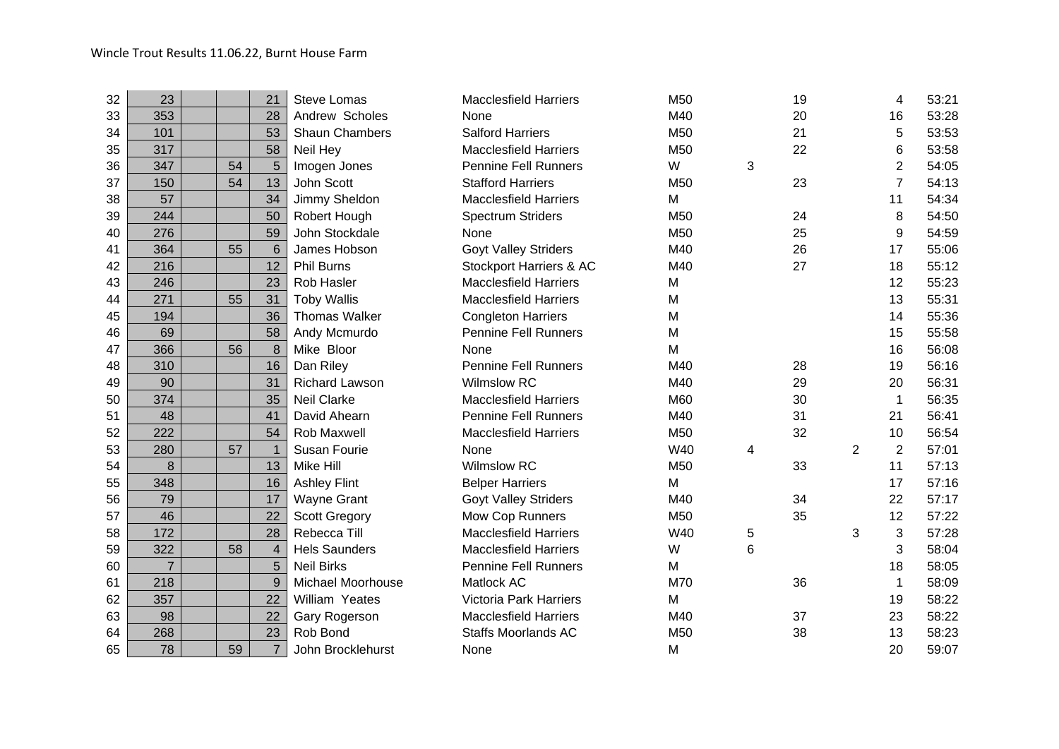| 32 | 23             |    | 21             | <b>Steve Lomas</b>    | <b>Macclesfield Harriers</b>  | M50             |   | 19 |                | 4              | 53:21 |
|----|----------------|----|----------------|-----------------------|-------------------------------|-----------------|---|----|----------------|----------------|-------|
| 33 | 353            |    | 28             | Andrew Scholes        | None                          | M40             |   | 20 |                | 16             | 53:28 |
| 34 | 101            |    | 53             | Shaun Chambers        | <b>Salford Harriers</b>       | M50             |   | 21 |                | 5              | 53:53 |
| 35 | 317            |    | 58             | Neil Hey              | <b>Macclesfield Harriers</b>  | M50             |   | 22 |                | 6              | 53:58 |
| 36 | 347            | 54 | 5              | Imogen Jones          | <b>Pennine Fell Runners</b>   | W               | 3 |    |                | 2              | 54:05 |
| 37 | 150            | 54 | 13             | John Scott            | <b>Stafford Harriers</b>      | M <sub>50</sub> |   | 23 |                | 7              | 54:13 |
| 38 | 57             |    | 34             | Jimmy Sheldon         | <b>Macclesfield Harriers</b>  | M               |   |    |                | 11             | 54:34 |
| 39 | 244            |    | 50             | Robert Hough          | <b>Spectrum Striders</b>      | M50             |   | 24 |                | 8              | 54:50 |
| 40 | 276            |    | 59             | John Stockdale        | None                          | M50             |   | 25 |                | 9              | 54:59 |
| 41 | 364            | 55 | $6\phantom{1}$ | James Hobson          | <b>Goyt Valley Striders</b>   | M40             |   | 26 |                | 17             | 55:06 |
| 42 | 216            |    | 12             | <b>Phil Burns</b>     | Stockport Harriers & AC       | M40             |   | 27 |                | 18             | 55:12 |
| 43 | 246            |    | 23             | Rob Hasler            | <b>Macclesfield Harriers</b>  | M               |   |    |                | 12             | 55:23 |
| 44 | 271            | 55 | 31             | <b>Toby Wallis</b>    | <b>Macclesfield Harriers</b>  | M               |   |    |                | 13             | 55:31 |
| 45 | 194            |    | 36             | <b>Thomas Walker</b>  | <b>Congleton Harriers</b>     | M               |   |    |                | 14             | 55:36 |
| 46 | 69             |    | 58             | Andy Mcmurdo          | <b>Pennine Fell Runners</b>   | M               |   |    |                | 15             | 55:58 |
| 47 | 366            | 56 | 8              | Mike Bloor            | None                          | M               |   |    |                | 16             | 56:08 |
| 48 | 310            |    | 16             | Dan Riley             | <b>Pennine Fell Runners</b>   | M40             |   | 28 |                | 19             | 56:16 |
| 49 | 90             |    | 31             | <b>Richard Lawson</b> | <b>Wilmslow RC</b>            | M40             |   | 29 |                | 20             | 56:31 |
| 50 | 374            |    | 35             | <b>Neil Clarke</b>    | <b>Macclesfield Harriers</b>  | M60             |   | 30 |                | 1              | 56:35 |
| 51 | 48             |    | 41             | David Ahearn          | <b>Pennine Fell Runners</b>   | M40             |   | 31 |                | 21             | 56:41 |
| 52 | 222            |    | 54             | Rob Maxwell           | <b>Macclesfield Harriers</b>  | M50             |   | 32 |                | 10             | 56:54 |
| 53 | 280            | 57 |                | Susan Fourie          | None                          | W40             | 4 |    | $\overline{2}$ | $\overline{2}$ | 57:01 |
| 54 | 8              |    | 13             | Mike Hill             | <b>Wilmslow RC</b>            | M50             |   | 33 |                | 11             | 57:13 |
| 55 | 348            |    | 16             | <b>Ashley Flint</b>   | <b>Belper Harriers</b>        | M               |   |    |                | 17             | 57:16 |
| 56 | 79             |    | 17             | <b>Wayne Grant</b>    | <b>Goyt Valley Striders</b>   | M40             |   | 34 |                | 22             | 57:17 |
| 57 | 46             |    | 22             | <b>Scott Gregory</b>  | Mow Cop Runners               | M50             |   | 35 |                | 12             | 57:22 |
| 58 | 172            |    | 28             | Rebecca Till          | <b>Macclesfield Harriers</b>  | W40             | 5 |    | 3              | 3              | 57:28 |
| 59 | 322            | 58 | $\overline{4}$ | <b>Hels Saunders</b>  | <b>Macclesfield Harriers</b>  | W               | 6 |    |                | 3              | 58:04 |
| 60 | $\overline{7}$ |    | 5              | <b>Neil Birks</b>     | <b>Pennine Fell Runners</b>   | M               |   |    |                | 18             | 58:05 |
| 61 | 218            |    | 9              | Michael Moorhouse     | Matlock AC                    | M70             |   | 36 |                | 1              | 58:09 |
| 62 | 357            |    | 22             | William Yeates        | <b>Victoria Park Harriers</b> | M               |   |    |                | 19             | 58:22 |
| 63 | 98             |    | 22             | Gary Rogerson         | <b>Macclesfield Harriers</b>  | M40             |   | 37 |                | 23             | 58:22 |
| 64 | 268            |    | 23             | Rob Bond              | <b>Staffs Moorlands AC</b>    | M50             |   | 38 |                | 13             | 58:23 |
| 65 | 78             | 59 | $\overline{7}$ | John Brocklehurst     | None                          | M               |   |    |                | 20             | 59:07 |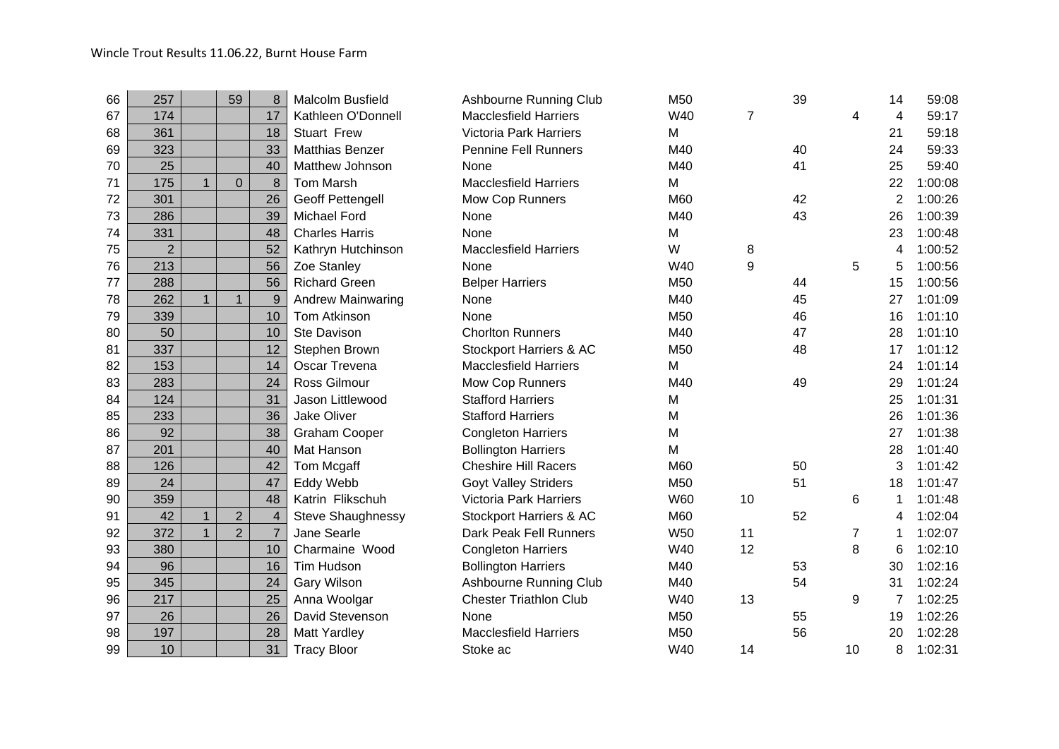| 66 | 257            |              | 59             | 8                | Malcolm Busfield         | Ashbourne Running Club        | M50        |    | 39 |                | 14             | 59:08   |
|----|----------------|--------------|----------------|------------------|--------------------------|-------------------------------|------------|----|----|----------------|----------------|---------|
| 67 | 174            |              |                | 17               | Kathleen O'Donnell       | <b>Macclesfield Harriers</b>  | W40        | 7  |    | 4              | 4              | 59:17   |
| 68 | 361            |              |                | 18               | <b>Stuart Frew</b>       | <b>Victoria Park Harriers</b> | M          |    |    |                | 21             | 59:18   |
| 69 | 323            |              |                | 33               | <b>Matthias Benzer</b>   | <b>Pennine Fell Runners</b>   | M40        |    | 40 |                | 24             | 59:33   |
| 70 | 25             |              |                | 40               | Matthew Johnson          | None                          | M40        |    | 41 |                | 25             | 59:40   |
| 71 | 175            |              | $\mathbf 0$    | 8                | <b>Tom Marsh</b>         | <b>Macclesfield Harriers</b>  | M          |    |    |                | 22             | 1:00:08 |
| 72 | 301            |              |                | 26               | <b>Geoff Pettengell</b>  | Mow Cop Runners               | M60        |    | 42 |                | $\overline{2}$ | 1:00:26 |
| 73 | 286            |              |                | 39               | <b>Michael Ford</b>      | None                          | M40        |    | 43 |                | 26             | 1:00:39 |
| 74 | 331            |              |                | 48               | <b>Charles Harris</b>    | None                          | M          |    |    |                | 23             | 1:00:48 |
| 75 | $\overline{2}$ |              |                | 52               | Kathryn Hutchinson       | <b>Macclesfield Harriers</b>  | W          | 8  |    |                | 4              | 1:00:52 |
| 76 | 213            |              |                | 56               | Zoe Stanley              | None                          | W40        | 9  |    | 5              | 5              | 1:00:56 |
| 77 | 288            |              |                | 56               | <b>Richard Green</b>     | <b>Belper Harriers</b>        | M50        |    | 44 |                | 15             | 1:00:56 |
| 78 | 262            | $\mathbf{1}$ | $\mathbf{1}$   | $\boldsymbol{9}$ | <b>Andrew Mainwaring</b> | None                          | M40        |    | 45 |                | 27             | 1:01:09 |
| 79 | 339            |              |                | 10               | Tom Atkinson             | None                          | M50        |    | 46 |                | 16             | 1:01:10 |
| 80 | 50             |              |                | 10               | Ste Davison              | <b>Chorlton Runners</b>       | M40        |    | 47 |                | 28             | 1:01:10 |
| 81 | 337            |              |                | 12               | Stephen Brown            | Stockport Harriers & AC       | M50        |    | 48 |                | 17             | 1:01:12 |
| 82 | 153            |              |                | 14               | Oscar Trevena            | <b>Macclesfield Harriers</b>  | M          |    |    |                | 24             | 1:01:14 |
| 83 | 283            |              |                | 24               | <b>Ross Gilmour</b>      | Mow Cop Runners               | M40        |    | 49 |                | 29             | 1:01:24 |
| 84 | 124            |              |                | 31               | Jason Littlewood         | <b>Stafford Harriers</b>      | M          |    |    |                | 25             | 1:01:31 |
| 85 | 233            |              |                | 36               | Jake Oliver              | <b>Stafford Harriers</b>      | M          |    |    |                | 26             | 1:01:36 |
| 86 | 92             |              |                | 38               | <b>Graham Cooper</b>     | <b>Congleton Harriers</b>     | M          |    |    |                | 27             | 1:01:38 |
| 87 | 201            |              |                | 40               | Mat Hanson               | <b>Bollington Harriers</b>    | M          |    |    |                | 28             | 1:01:40 |
| 88 | 126            |              |                | 42               | Tom Mcgaff               | <b>Cheshire Hill Racers</b>   | M60        |    | 50 |                | 3              | 1:01:42 |
| 89 | 24             |              |                | 47               | Eddy Webb                | <b>Goyt Valley Striders</b>   | M50        |    | 51 |                | 18             | 1:01:47 |
| 90 | 359            |              |                | 48               | Katrin Flikschuh         | <b>Victoria Park Harriers</b> | <b>W60</b> | 10 |    | 6              | 1              | 1:01:48 |
| 91 | 42             |              | $\overline{2}$ | $\overline{4}$   | Steve Shaughnessy        | Stockport Harriers & AC       | M60        |    | 52 |                | 4              | 1:02:04 |
| 92 | 372            | $\mathbf{1}$ | $\overline{2}$ | $\overline{7}$   | Jane Searle              | Dark Peak Fell Runners        | <b>W50</b> | 11 |    | $\overline{7}$ | 1              | 1:02:07 |
| 93 | 380            |              |                | 10               | Charmaine Wood           | <b>Congleton Harriers</b>     | W40        | 12 |    | 8              | 6              | 1:02:10 |
| 94 | 96             |              |                | 16               | Tim Hudson               | <b>Bollington Harriers</b>    | M40        |    | 53 |                | 30             | 1:02:16 |
| 95 | 345            |              |                | 24               | <b>Gary Wilson</b>       | <b>Ashbourne Running Club</b> | M40        |    | 54 |                | 31             | 1:02:24 |
| 96 | 217            |              |                | 25               | Anna Woolgar             | <b>Chester Triathlon Club</b> | W40        | 13 |    | 9              | 7              | 1:02:25 |
| 97 | 26             |              |                | 26               | David Stevenson          | None                          | M50        |    | 55 |                | 19             | 1:02:26 |
| 98 | 197            |              |                | 28               | <b>Matt Yardley</b>      | <b>Macclesfield Harriers</b>  | M50        |    | 56 |                | 20             | 1:02:28 |
| 99 | 10             |              |                | 31               | <b>Tracy Bloor</b>       | Stoke ac                      | W40        | 14 |    | 10             | 8              | 1:02:31 |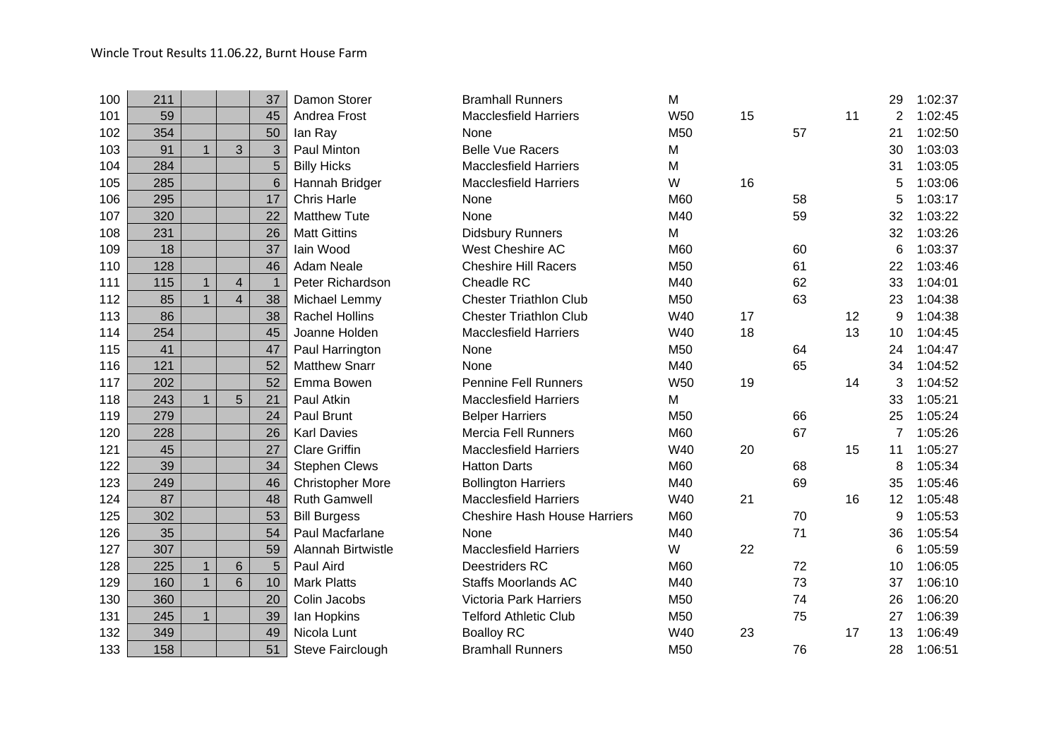| 100 | 211 |              |                         | 37             | Damon Storer            | <b>Bramhall Runners</b>             | M          |    |    |    | 29 | 1:02:37 |
|-----|-----|--------------|-------------------------|----------------|-------------------------|-------------------------------------|------------|----|----|----|----|---------|
| 101 | 59  |              |                         | 45             | Andrea Frost            | <b>Macclesfield Harriers</b>        | <b>W50</b> | 15 |    | 11 | 2  | 1:02:45 |
| 102 | 354 |              |                         | 50             | lan Ray                 | None                                | M50        |    | 57 |    | 21 | 1:02:50 |
| 103 | 91  |              | 3                       | $\mathfrak{S}$ | Paul Minton             | <b>Belle Vue Racers</b>             | M          |    |    |    | 30 | 1:03:03 |
| 104 | 284 |              |                         | 5              | <b>Billy Hicks</b>      | <b>Macclesfield Harriers</b>        | M          |    |    |    | 31 | 1:03:05 |
| 105 | 285 |              |                         | $6\phantom{1}$ | Hannah Bridger          | <b>Macclesfield Harriers</b>        | W          | 16 |    |    | 5  | 1:03:06 |
| 106 | 295 |              |                         | 17             | <b>Chris Harle</b>      | None                                | M60        |    | 58 |    | 5  | 1:03:17 |
| 107 | 320 |              |                         | 22             | <b>Matthew Tute</b>     | None                                | M40        |    | 59 |    | 32 | 1:03:22 |
| 108 | 231 |              |                         | 26             | <b>Matt Gittins</b>     | <b>Didsbury Runners</b>             | M          |    |    |    | 32 | 1:03:26 |
| 109 | 18  |              |                         | 37             | lain Wood               | West Cheshire AC                    | M60        |    | 60 |    | 6  | 1:03:37 |
| 110 | 128 |              |                         | 46             | <b>Adam Neale</b>       | <b>Cheshire Hill Racers</b>         | M50        |    | 61 |    | 22 | 1:03:46 |
| 111 | 115 |              | $\overline{\mathbf{4}}$ |                | Peter Richardson        | Cheadle RC                          | M40        |    | 62 |    | 33 | 1:04:01 |
| 112 | 85  |              | $\overline{4}$          | 38             | Michael Lemmy           | <b>Chester Triathlon Club</b>       | M50        |    | 63 |    | 23 | 1:04:38 |
| 113 | 86  |              |                         | 38             | <b>Rachel Hollins</b>   | <b>Chester Triathlon Club</b>       | W40        | 17 |    | 12 | 9  | 1:04:38 |
| 114 | 254 |              |                         | 45             | Joanne Holden           | <b>Macclesfield Harriers</b>        | W40        | 18 |    | 13 | 10 | 1:04:45 |
| 115 | 41  |              |                         | 47             | Paul Harrington         | None                                | M50        |    | 64 |    | 24 | 1:04:47 |
| 116 | 121 |              |                         | 52             | <b>Matthew Snarr</b>    | None                                | M40        |    | 65 |    | 34 | 1:04:52 |
| 117 | 202 |              |                         | 52             | Emma Bowen              | <b>Pennine Fell Runners</b>         | <b>W50</b> | 19 |    | 14 | 3  | 1:04:52 |
| 118 | 243 | $\mathbf{1}$ | 5                       | 21             | Paul Atkin              | <b>Macclesfield Harriers</b>        | M          |    |    |    | 33 | 1:05:21 |
| 119 | 279 |              |                         | 24             | Paul Brunt              | <b>Belper Harriers</b>              | M50        |    | 66 |    | 25 | 1:05:24 |
| 120 | 228 |              |                         | 26             | <b>Karl Davies</b>      | <b>Mercia Fell Runners</b>          | M60        |    | 67 |    | 7  | 1:05:26 |
| 121 | 45  |              |                         | 27             | <b>Clare Griffin</b>    | <b>Macclesfield Harriers</b>        | W40        | 20 |    | 15 | 11 | 1:05:27 |
| 122 | 39  |              |                         | 34             | <b>Stephen Clews</b>    | <b>Hatton Darts</b>                 | M60        |    | 68 |    | 8  | 1:05:34 |
| 123 | 249 |              |                         | 46             | <b>Christopher More</b> | <b>Bollington Harriers</b>          | M40        |    | 69 |    | 35 | 1:05:46 |
| 124 | 87  |              |                         | 48             | <b>Ruth Gamwell</b>     | <b>Macclesfield Harriers</b>        | W40        | 21 |    | 16 | 12 | 1:05:48 |
| 125 | 302 |              |                         | 53             | <b>Bill Burgess</b>     | <b>Cheshire Hash House Harriers</b> | M60        |    | 70 |    | 9  | 1:05:53 |
| 126 | 35  |              |                         | 54             | Paul Macfarlane         | None                                | M40        |    | 71 |    | 36 | 1:05:54 |
| 127 | 307 |              |                         | 59             | Alannah Birtwistle      | <b>Macclesfield Harriers</b>        | W          | 22 |    |    | 6  | 1:05:59 |
| 128 | 225 | $\mathbf{1}$ | 6                       | 5              | Paul Aird               | Deestriders RC                      | M60        |    | 72 |    | 10 | 1:06:05 |
| 129 | 160 | $\mathbf{1}$ | 6                       | 10             | <b>Mark Platts</b>      | <b>Staffs Moorlands AC</b>          | M40        |    | 73 |    | 37 | 1:06:10 |
| 130 | 360 |              |                         | 20             | Colin Jacobs            | <b>Victoria Park Harriers</b>       | M50        |    | 74 |    | 26 | 1:06:20 |
| 131 | 245 | $\mathbf{1}$ |                         | 39             | lan Hopkins             | <b>Telford Athletic Club</b>        | M50        |    | 75 |    | 27 | 1:06:39 |
| 132 | 349 |              |                         | 49             | Nicola Lunt             | <b>Boalloy RC</b>                   | W40        | 23 |    | 17 | 13 | 1:06:49 |
| 133 | 158 |              |                         | 51             | Steve Fairclough        | <b>Bramhall Runners</b>             | M50        |    | 76 |    | 28 | 1:06:51 |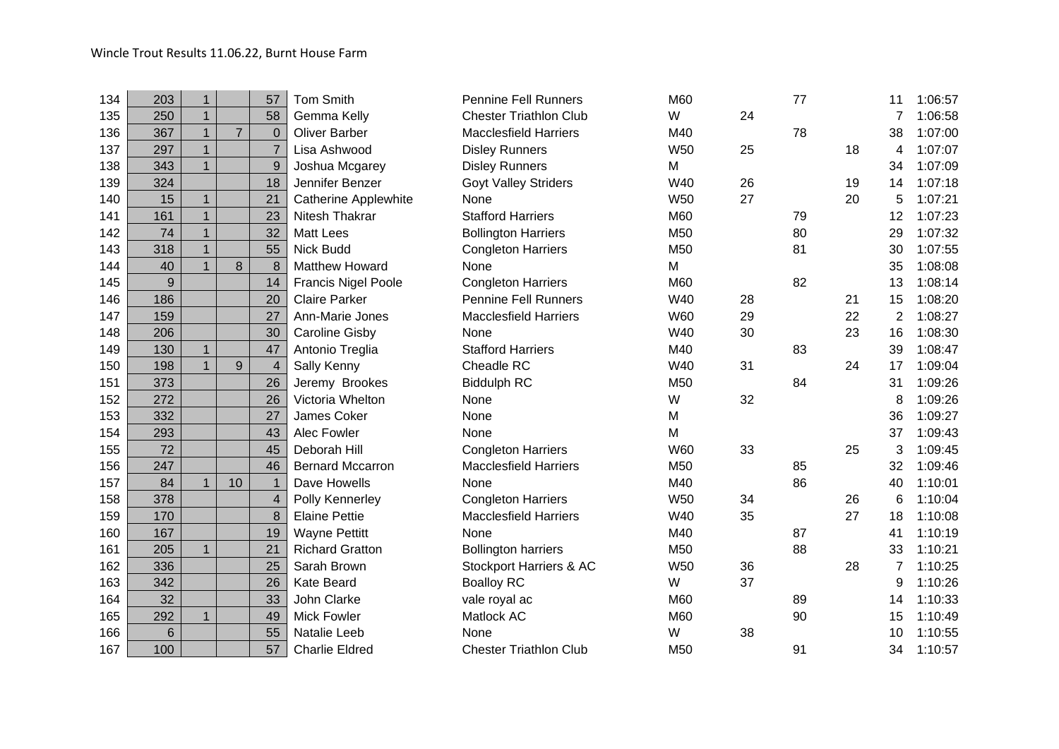| 203 | 1            |                | 57                      | <b>Tom Smith</b>           | <b>Pennine Fell Runners</b>   | M60             |    | 77 |    | 11 | 1:06:57 |
|-----|--------------|----------------|-------------------------|----------------------------|-------------------------------|-----------------|----|----|----|----|---------|
| 250 | $\mathbf{1}$ |                | 58                      | Gemma Kelly                | <b>Chester Triathlon Club</b> | W               | 24 |    |    |    | 1:06:58 |
| 367 | $\mathbf{1}$ | $\overline{7}$ | $\overline{0}$          | <b>Oliver Barber</b>       | <b>Macclesfield Harriers</b>  | M40             |    | 78 |    | 38 | 1:07:00 |
| 297 | $\mathbf{1}$ |                | $\overline{7}$          | Lisa Ashwood               | <b>Disley Runners</b>         | <b>W50</b>      | 25 |    | 18 | 4  | 1:07:07 |
| 343 | $\mathbf{1}$ |                | 9                       | Joshua Mcgarey             | <b>Disley Runners</b>         | M               |    |    |    | 34 | 1:07:09 |
| 324 |              |                | 18                      | Jennifer Benzer            | <b>Goyt Valley Striders</b>   | W40             | 26 |    | 19 | 14 | 1:07:18 |
| 15  | $\mathbf{1}$ |                | 21                      | Catherine Applewhite       | None                          | <b>W50</b>      | 27 |    | 20 | 5  | 1:07:21 |
| 161 | $\mathbf{1}$ |                | 23                      | Nitesh Thakrar             | <b>Stafford Harriers</b>      | M60             |    | 79 |    | 12 | 1:07:23 |
| 74  | $\mathbf{1}$ |                | 32                      | <b>Matt Lees</b>           | <b>Bollington Harriers</b>    | M50             |    | 80 |    | 29 | 1:07:32 |
| 318 | $\mathbf{1}$ |                | 55                      | Nick Budd                  | <b>Congleton Harriers</b>     | M50             |    | 81 |    | 30 | 1:07:55 |
| 40  | $\mathbf{1}$ | 8              | 8                       | <b>Matthew Howard</b>      | None                          | M               |    |    |    | 35 | 1:08:08 |
| 9   |              |                | 14                      | <b>Francis Nigel Poole</b> | <b>Congleton Harriers</b>     | M60             |    | 82 |    | 13 | 1:08:14 |
| 186 |              |                | 20                      | <b>Claire Parker</b>       | <b>Pennine Fell Runners</b>   | W40             | 28 |    | 21 | 15 | 1:08:20 |
| 159 |              |                | 27                      | Ann-Marie Jones            | <b>Macclesfield Harriers</b>  | <b>W60</b>      | 29 |    | 22 | 2  | 1:08:27 |
| 206 |              |                | 30                      | <b>Caroline Gisby</b>      | None                          | W40             | 30 |    | 23 | 16 | 1:08:30 |
| 130 | $\mathbf{1}$ |                | 47                      | Antonio Treglia            | <b>Stafford Harriers</b>      | M40             |    | 83 |    | 39 | 1:08:47 |
| 198 | 1            | 9              | $\overline{\mathbf{4}}$ | Sally Kenny                | Cheadle RC                    | W40             | 31 |    | 24 | 17 | 1:09:04 |
| 373 |              |                | 26                      | Jeremy Brookes             | <b>Biddulph RC</b>            | M50             |    | 84 |    | 31 | 1:09:26 |
| 272 |              |                | 26                      | Victoria Whelton           | None                          | W               | 32 |    |    | 8  | 1:09:26 |
| 332 |              |                | 27                      | James Coker                | None                          | M               |    |    |    | 36 | 1:09:27 |
| 293 |              |                | 43                      | Alec Fowler                | None                          | M               |    |    |    | 37 | 1:09:43 |
| 72  |              |                | 45                      | Deborah Hill               | <b>Congleton Harriers</b>     | <b>W60</b>      | 33 |    | 25 | 3  | 1:09:45 |
| 247 |              |                | 46                      | <b>Bernard Mccarron</b>    | <b>Macclesfield Harriers</b>  | M <sub>50</sub> |    | 85 |    | 32 | 1:09:46 |
| 84  | $\mathbf{1}$ | 10             | $\mathbf{1}$            | Dave Howells               | None                          | M40             |    | 86 |    | 40 | 1:10:01 |
| 378 |              |                | 4                       | Polly Kennerley            | <b>Congleton Harriers</b>     | <b>W50</b>      | 34 |    | 26 | 6  | 1:10:04 |
| 170 |              |                | 8                       | <b>Elaine Pettie</b>       | <b>Macclesfield Harriers</b>  | W40             | 35 |    | 27 | 18 | 1:10:08 |
| 167 |              |                | 19                      | <b>Wayne Pettitt</b>       | None                          | M40             |    | 87 |    | 41 | 1:10:19 |
| 205 | $\mathbf{1}$ |                | 21                      | <b>Richard Gratton</b>     | <b>Bollington harriers</b>    | M50             |    | 88 |    | 33 | 1:10:21 |
| 336 |              |                | 25                      | Sarah Brown                | Stockport Harriers & AC       | <b>W50</b>      | 36 |    | 28 | 7  | 1:10:25 |
| 342 |              |                | 26                      | <b>Kate Beard</b>          | <b>Boalloy RC</b>             | W               | 37 |    |    | 9  | 1:10:26 |
| 32  |              |                | 33                      | John Clarke                | vale royal ac                 | M60             |    | 89 |    | 14 | 1:10:33 |
| 292 | $\mathbf{1}$ |                | 49                      | <b>Mick Fowler</b>         | Matlock AC                    | M60             |    | 90 |    | 15 | 1:10:49 |
| 6   |              |                | 55                      | Natalie Leeb               | None                          | W               | 38 |    |    | 10 | 1:10:55 |
| 100 |              |                | 57                      | <b>Charlie Eldred</b>      | <b>Chester Triathlon Club</b> | M50             |    | 91 |    | 34 | 1:10:57 |
|     |              |                |                         |                            |                               |                 |    |    |    |    |         |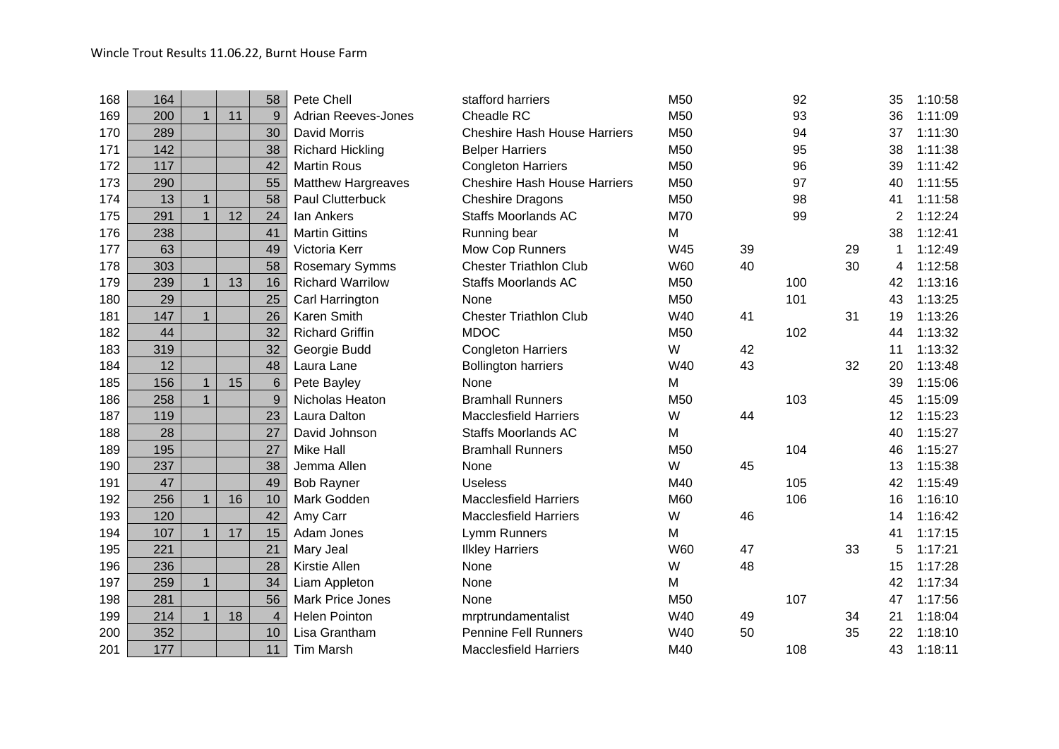| 164 |              |    | 58                      | Pete Chell                 | stafford harriers                   | M50        |    | 92  |    | 35 | 1:10:58 |
|-----|--------------|----|-------------------------|----------------------------|-------------------------------------|------------|----|-----|----|----|---------|
| 200 | $\mathbf{1}$ | 11 | 9                       | <b>Adrian Reeves-Jones</b> | Cheadle RC                          | M50        |    | 93  |    | 36 | 1:11:09 |
| 289 |              |    | 30                      | David Morris               | <b>Cheshire Hash House Harriers</b> | M50        |    | 94  |    | 37 | 1:11:30 |
| 142 |              |    | 38                      | <b>Richard Hickling</b>    | <b>Belper Harriers</b>              | M50        |    | 95  |    | 38 | 1:11:38 |
| 117 |              |    | 42                      | <b>Martin Rous</b>         | <b>Congleton Harriers</b>           | M50        |    | 96  |    | 39 | 1:11:42 |
| 290 |              |    | 55                      | <b>Matthew Hargreaves</b>  | <b>Cheshire Hash House Harriers</b> | M50        |    | 97  |    | 40 | 1:11:55 |
| 13  | $\mathbf{1}$ |    | 58                      | Paul Clutterbuck           | <b>Cheshire Dragons</b>             | M50        |    | 98  |    | 41 | 1:11:58 |
| 291 | $\mathbf{1}$ | 12 | 24                      | lan Ankers                 | <b>Staffs Moorlands AC</b>          | M70        |    | 99  |    | 2  | 1:12:24 |
| 238 |              |    | 41                      | <b>Martin Gittins</b>      | Running bear                        | M          |    |     |    | 38 | 1:12:41 |
| 63  |              |    | 49                      | Victoria Kerr              | Mow Cop Runners                     | W45        | 39 |     | 29 | -1 | 1:12:49 |
| 303 |              |    | 58                      | <b>Rosemary Symms</b>      | <b>Chester Triathlon Club</b>       | <b>W60</b> | 40 |     | 30 | 4  | 1:12:58 |
| 239 | $\mathbf{1}$ | 13 | 16                      | <b>Richard Warrilow</b>    | <b>Staffs Moorlands AC</b>          | M50        |    | 100 |    | 42 | 1:13:16 |
| 29  |              |    | 25                      | Carl Harrington            | None                                | M50        |    | 101 |    | 43 | 1:13:25 |
| 147 | $\mathbf{1}$ |    | 26                      | Karen Smith                | <b>Chester Triathlon Club</b>       | W40        | 41 |     | 31 | 19 | 1:13:26 |
| 44  |              |    | 32                      | <b>Richard Griffin</b>     | <b>MDOC</b>                         | M50        |    | 102 |    | 44 | 1:13:32 |
| 319 |              |    | 32                      | Georgie Budd               | <b>Congleton Harriers</b>           | W          | 42 |     |    | 11 | 1:13:32 |
| 12  |              |    | 48                      | Laura Lane                 | <b>Bollington harriers</b>          | W40        | 43 |     | 32 | 20 | 1:13:48 |
| 156 | $\mathbf{1}$ | 15 | 6                       | Pete Bayley                | None                                | M          |    |     |    | 39 | 1:15:06 |
| 258 | 1            |    | 9                       | Nicholas Heaton            | <b>Bramhall Runners</b>             | M50        |    | 103 |    | 45 | 1:15:09 |
| 119 |              |    | 23                      | Laura Dalton               | <b>Macclesfield Harriers</b>        | W          | 44 |     |    | 12 | 1:15:23 |
| 28  |              |    | 27                      | David Johnson              | <b>Staffs Moorlands AC</b>          | M          |    |     |    | 40 | 1:15:27 |
| 195 |              |    | 27                      | Mike Hall                  | <b>Bramhall Runners</b>             | M50        |    | 104 |    | 46 | 1:15:27 |
| 237 |              |    | 38                      | Jemma Allen                | None                                | W          | 45 |     |    | 13 | 1:15:38 |
| 47  |              |    | 49                      | <b>Bob Rayner</b>          | <b>Useless</b>                      | M40        |    | 105 |    | 42 | 1:15:49 |
| 256 | $\mathbf{1}$ | 16 | 10                      | Mark Godden                | <b>Macclesfield Harriers</b>        | M60        |    | 106 |    | 16 | 1:16:10 |
| 120 |              |    | 42                      | Amy Carr                   | <b>Macclesfield Harriers</b>        | W          | 46 |     |    | 14 | 1:16:42 |
| 107 | $\mathbf{1}$ | 17 | 15                      | Adam Jones                 | Lymm Runners                        | M          |    |     |    | 41 | 1:17:15 |
| 221 |              |    | 21                      | Mary Jeal                  | <b>Ilkley Harriers</b>              | <b>W60</b> | 47 |     | 33 | 5  | 1:17:21 |
| 236 |              |    | 28                      | Kirstie Allen              | None                                | W          | 48 |     |    | 15 | 1:17:28 |
| 259 | $\mathbf{1}$ |    | 34                      | Liam Appleton              | None                                | M          |    |     |    | 42 | 1:17:34 |
| 281 |              |    | 56                      | Mark Price Jones           | None                                | M50        |    | 107 |    | 47 | 1:17:56 |
| 214 | $\mathbf{1}$ | 18 | $\overline{\mathbf{4}}$ | <b>Helen Pointon</b>       | mrptrundamentalist                  | W40        | 49 |     | 34 | 21 | 1:18:04 |
| 352 |              |    | 10                      | Lisa Grantham              | <b>Pennine Fell Runners</b>         | W40        | 50 |     | 35 | 22 | 1:18:10 |
| 177 |              |    | 11                      | <b>Tim Marsh</b>           | <b>Macclesfield Harriers</b>        | M40        |    | 108 |    | 43 | 1:18:11 |
|     |              |    |                         |                            |                                     |            |    |     |    |    |         |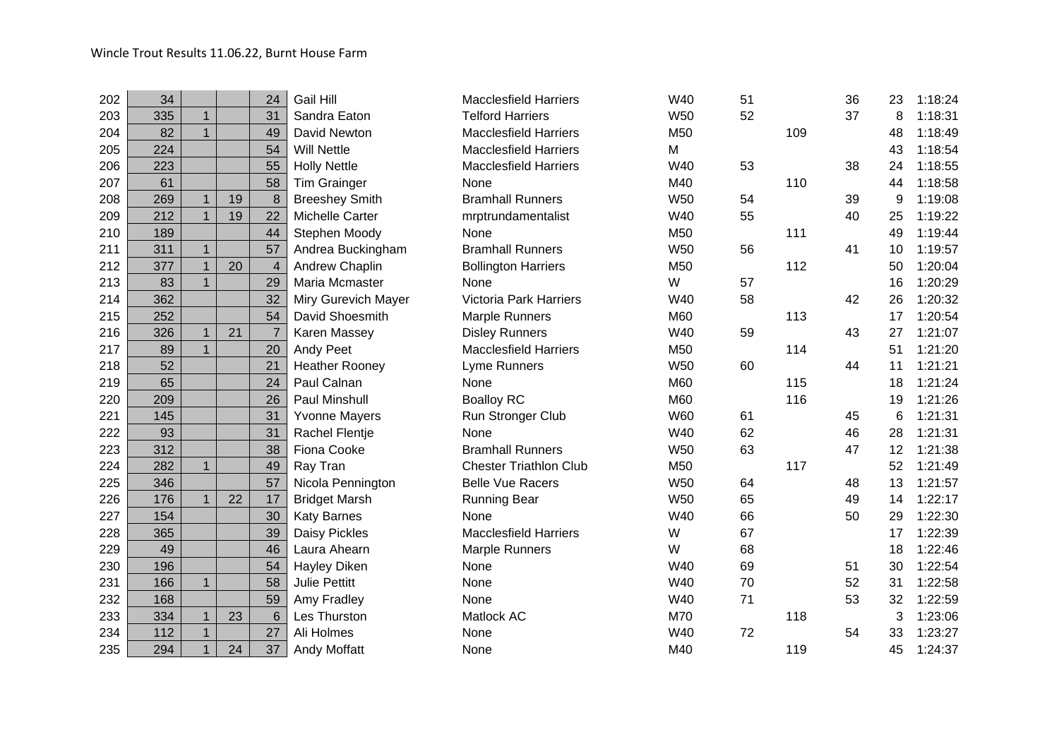| 202 | 34  |              |    | 24             | Gail Hill             | <b>Macclesfield Harriers</b>  | W40        | 51 |     | 36 | 23 | 1:18:24 |
|-----|-----|--------------|----|----------------|-----------------------|-------------------------------|------------|----|-----|----|----|---------|
| 203 | 335 | $\mathbf{1}$ |    | 31             | Sandra Eaton          | <b>Telford Harriers</b>       | <b>W50</b> | 52 |     | 37 | 8  | 1:18:31 |
| 204 | 82  | $\mathbf{1}$ |    | 49             | David Newton          | <b>Macclesfield Harriers</b>  | M50        |    | 109 |    | 48 | 1:18:49 |
| 205 | 224 |              |    | 54             | <b>Will Nettle</b>    | <b>Macclesfield Harriers</b>  | M          |    |     |    | 43 | 1:18:54 |
| 206 | 223 |              |    | 55             | <b>Holly Nettle</b>   | <b>Macclesfield Harriers</b>  | W40        | 53 |     | 38 | 24 | 1:18:55 |
| 207 | 61  |              |    | 58             | <b>Tim Grainger</b>   | None                          | M40        |    | 110 |    | 44 | 1:18:58 |
| 208 | 269 | $\mathbf{1}$ | 19 | 8              | <b>Breeshey Smith</b> | <b>Bramhall Runners</b>       | <b>W50</b> | 54 |     | 39 | 9  | 1:19:08 |
| 209 | 212 | 1            | 19 | 22             | Michelle Carter       | mrptrundamentalist            | W40        | 55 |     | 40 | 25 | 1:19:22 |
| 210 | 189 |              |    | 44             | Stephen Moody         | None                          | M50        |    | 111 |    | 49 | 1:19:44 |
| 211 | 311 | $\mathbf{1}$ |    | 57             | Andrea Buckingham     | <b>Bramhall Runners</b>       | <b>W50</b> | 56 |     | 41 | 10 | 1:19:57 |
| 212 | 377 | $\mathbf{1}$ | 20 | $\overline{4}$ | Andrew Chaplin        | <b>Bollington Harriers</b>    | M50        |    | 112 |    | 50 | 1:20:04 |
| 213 | 83  | $\mathbf{1}$ |    | 29             | Maria Mcmaster        | None                          | W          | 57 |     |    | 16 | 1:20:29 |
| 214 | 362 |              |    | 32             | Miry Gurevich Mayer   | Victoria Park Harriers        | W40        | 58 |     | 42 | 26 | 1:20:32 |
| 215 | 252 |              |    | 54             | David Shoesmith       | <b>Marple Runners</b>         | M60        |    | 113 |    | 17 | 1:20:54 |
| 216 | 326 | $\mathbf{1}$ | 21 | $\overline{7}$ | Karen Massey          | <b>Disley Runners</b>         | W40        | 59 |     | 43 | 27 | 1:21:07 |
| 217 | 89  | $\mathbf{1}$ |    | 20             | Andy Peet             | <b>Macclesfield Harriers</b>  | M50        |    | 114 |    | 51 | 1:21:20 |
| 218 | 52  |              |    | 21             | <b>Heather Rooney</b> | Lyme Runners                  | <b>W50</b> | 60 |     | 44 | 11 | 1:21:21 |
| 219 | 65  |              |    | 24             | Paul Calnan           | None                          | M60        |    | 115 |    | 18 | 1:21:24 |
| 220 | 209 |              |    | 26             | Paul Minshull         | <b>Boalloy RC</b>             | M60        |    | 116 |    | 19 | 1:21:26 |
| 221 | 145 |              |    | 31             | <b>Yvonne Mayers</b>  | Run Stronger Club             | W60        | 61 |     | 45 | 6  | 1:21:31 |
| 222 | 93  |              |    | 31             | Rachel Flentje        | None                          | W40        | 62 |     | 46 | 28 | 1:21:31 |
| 223 | 312 |              |    | 38             | Fiona Cooke           | <b>Bramhall Runners</b>       | <b>W50</b> | 63 |     | 47 | 12 | 1:21:38 |
| 224 | 282 | 1            |    | 49             | Ray Tran              | <b>Chester Triathlon Club</b> | M50        |    | 117 |    | 52 | 1:21:49 |
| 225 | 346 |              |    | 57             | Nicola Pennington     | <b>Belle Vue Racers</b>       | <b>W50</b> | 64 |     | 48 | 13 | 1:21:57 |
| 226 | 176 | $\mathbf{1}$ | 22 | 17             | <b>Bridget Marsh</b>  | <b>Running Bear</b>           | <b>W50</b> | 65 |     | 49 | 14 | 1:22:17 |
| 227 | 154 |              |    | 30             | <b>Katy Barnes</b>    | None                          | W40        | 66 |     | 50 | 29 | 1:22:30 |
| 228 | 365 |              |    | 39             | Daisy Pickles         | <b>Macclesfield Harriers</b>  | W          | 67 |     |    | 17 | 1:22:39 |
| 229 | 49  |              |    | 46             | Laura Ahearn          | Marple Runners                | W          | 68 |     |    | 18 | 1:22:46 |
| 230 | 196 |              |    | 54             | <b>Hayley Diken</b>   | None                          | W40        | 69 |     | 51 | 30 | 1:22:54 |
| 231 | 166 | 1            |    | 58             | <b>Julie Pettitt</b>  | None                          | W40        | 70 |     | 52 | 31 | 1:22:58 |
| 232 | 168 |              |    | 59             | Amy Fradley           | None                          | W40        | 71 |     | 53 | 32 | 1:22:59 |
| 233 | 334 | $\mathbf{1}$ | 23 | 6              | Les Thurston          | Matlock AC                    | M70        |    | 118 |    | 3  | 1:23:06 |
| 234 | 112 | $\mathbf{1}$ |    | 27             | Ali Holmes            | None                          | W40        | 72 |     | 54 | 33 | 1:23:27 |
| 235 | 294 | $\mathbf{1}$ | 24 | 37             | Andy Moffatt          | None                          | M40        |    | 119 |    | 45 | 1:24:37 |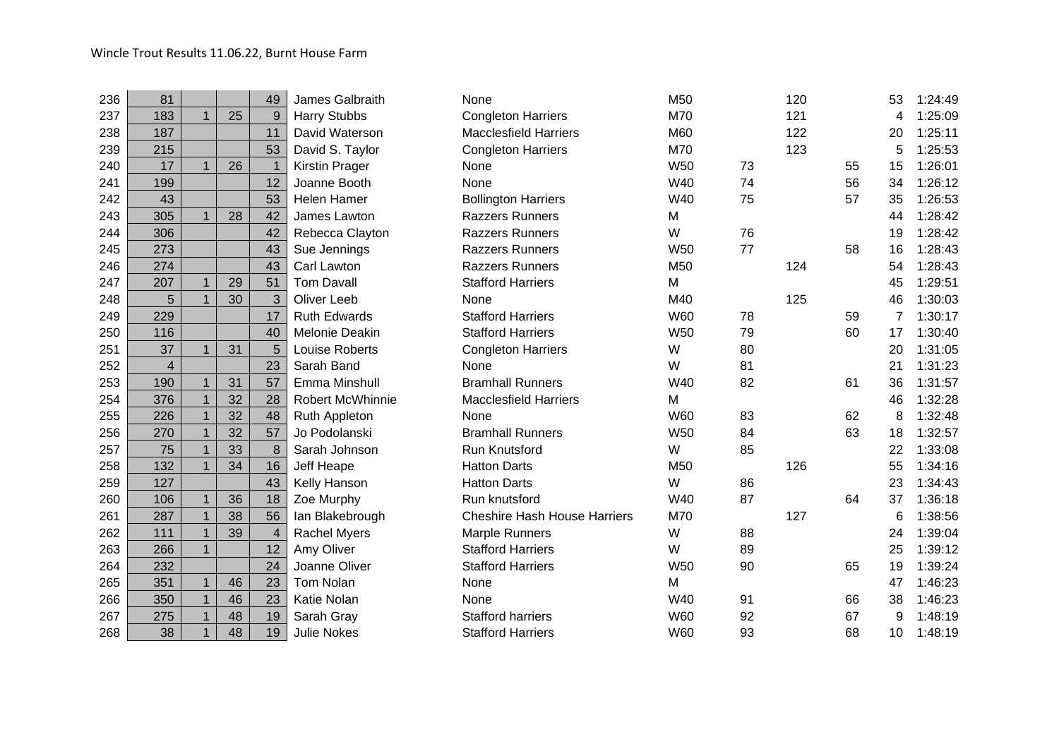| 236 | 81             |                |    | 49               | James Galbraith     | None                                | M <sub>50</sub> |    | 120 |    | 53             | 1:24:49 |
|-----|----------------|----------------|----|------------------|---------------------|-------------------------------------|-----------------|----|-----|----|----------------|---------|
| 237 | 183            | $\mathbf{1}$   | 25 | 9                | <b>Harry Stubbs</b> | <b>Congleton Harriers</b>           | M70             |    | 121 |    | 4              | 1:25:09 |
| 238 | 187            |                |    | 11               | David Waterson      | <b>Macclesfield Harriers</b>        | M60             |    | 122 |    | 20             | 1:25:11 |
| 239 | 215            |                |    | 53               | David S. Taylor     | <b>Congleton Harriers</b>           | M70             |    | 123 |    | 5              | 1:25:53 |
| 240 | 17             | $\mathbf{1}$   | 26 | $\mathbf{1}$     | Kirstin Prager      | None                                | <b>W50</b>      | 73 |     | 55 | 15             | 1:26:01 |
| 241 | 199            |                |    | 12               | Joanne Booth        | None                                | W40             | 74 |     | 56 | 34             | 1:26:12 |
| 242 | 43             |                |    | 53               | <b>Helen Hamer</b>  | <b>Bollington Harriers</b>          | W40             | 75 |     | 57 | 35             | 1:26:53 |
| 243 | 305            | $\mathbf{1}$   | 28 | 42               | James Lawton        | <b>Razzers Runners</b>              | M               |    |     |    | 44             | 1:28:42 |
| 244 | 306            |                |    | 42               | Rebecca Clayton     | <b>Razzers Runners</b>              | W               | 76 |     |    | 19             | 1:28:42 |
| 245 | 273            |                |    | 43               | Sue Jennings        | <b>Razzers Runners</b>              | <b>W50</b>      | 77 |     | 58 | 16             | 1:28:43 |
| 246 | 274            |                |    | 43               | Carl Lawton         | <b>Razzers Runners</b>              | M <sub>50</sub> |    | 124 |    | 54             | 1:28:43 |
| 247 | 207            | $\mathbf{1}$   | 29 | 51               | <b>Tom Davall</b>   | <b>Stafford Harriers</b>            | M               |    |     |    | 45             | 1:29:51 |
| 248 | 5              | $\mathbf{1}$   | 30 | $\mathbf{3}$     | <b>Oliver Leeb</b>  | None                                | M40             |    | 125 |    | 46             | 1:30:03 |
| 249 | 229            |                |    | 17               | <b>Ruth Edwards</b> | <b>Stafford Harriers</b>            | <b>W60</b>      | 78 |     | 59 | $\overline{7}$ | 1:30:17 |
| 250 | 116            |                |    | 40               | Melonie Deakin      | <b>Stafford Harriers</b>            | <b>W50</b>      | 79 |     | 60 | 17             | 1:30:40 |
| 251 | 37             | $\mathbf{1}$   | 31 | 5                | Louise Roberts      | <b>Congleton Harriers</b>           | W               | 80 |     |    | 20             | 1:31:05 |
| 252 | $\overline{4}$ |                |    | 23               | Sarah Band          | None                                | W               | 81 |     |    | 21             | 1:31:23 |
| 253 | 190            | $\mathbf{1}$   | 31 | 57               | Emma Minshull       | <b>Bramhall Runners</b>             | W40             | 82 |     | 61 | 36             | 1:31:57 |
| 254 | 376            | $\mathbf{1}$   | 32 | 28               | Robert McWhinnie    | <b>Macclesfield Harriers</b>        | M               |    |     |    | 46             | 1:32:28 |
| 255 | 226            | $\mathbf{1}$   | 32 | 48               | Ruth Appleton       | None                                | <b>W60</b>      | 83 |     | 62 | 8              | 1:32:48 |
| 256 | 270            | $\mathbf{1}$   | 32 | 57               | Jo Podolanski       | <b>Bramhall Runners</b>             | <b>W50</b>      | 84 |     | 63 | 18             | 1:32:57 |
| 257 | 75             | $\mathbf{1}$   | 33 | $\boldsymbol{8}$ | Sarah Johnson       | <b>Run Knutsford</b>                | W               | 85 |     |    | 22             | 1:33:08 |
| 258 | 132            | $\mathbf{1}$   | 34 | 16               | Jeff Heape          | <b>Hatton Darts</b>                 | M <sub>50</sub> |    | 126 |    | 55             | 1:34:16 |
| 259 | 127            |                |    | 43               | Kelly Hanson        | <b>Hatton Darts</b>                 | W               | 86 |     |    | 23             | 1:34:43 |
| 260 | 106            | $\mathbf{1}$   | 36 | 18               | Zoe Murphy          | Run knutsford                       | W40             | 87 |     | 64 | 37             | 1:36:18 |
| 261 | 287            | $\mathbf{1}$   | 38 | 56               | lan Blakebrough     | <b>Cheshire Hash House Harriers</b> | M70             |    | 127 |    | 6              | 1:38:56 |
| 262 | 111            | $\overline{1}$ | 39 | $\overline{4}$   | <b>Rachel Myers</b> | Marple Runners                      | W               | 88 |     |    | 24             | 1:39:04 |
| 263 | 266            | $\mathbf{1}$   |    | 12               | Amy Oliver          | <b>Stafford Harriers</b>            | W               | 89 |     |    | 25             | 1:39:12 |
| 264 | 232            |                |    | 24               | Joanne Oliver       | <b>Stafford Harriers</b>            | W50             | 90 |     | 65 | 19             | 1:39:24 |
| 265 | 351            | $\mathbf{1}$   | 46 | 23               | <b>Tom Nolan</b>    | None                                | M               |    |     |    | 47             | 1:46:23 |
| 266 | 350            | $\mathbf{1}$   | 46 | 23               | Katie Nolan         | None                                | W40             | 91 |     | 66 | 38             | 1:46:23 |
| 267 | 275            | $\mathbf{1}$   | 48 | 19               | Sarah Gray          | <b>Stafford harriers</b>            | W60             | 92 |     | 67 | 9              | 1:48:19 |
| 268 | 38             | $\mathbf{1}$   | 48 | 19               | <b>Julie Nokes</b>  | <b>Stafford Harriers</b>            | W60             | 93 |     | 68 | 10             | 1:48:19 |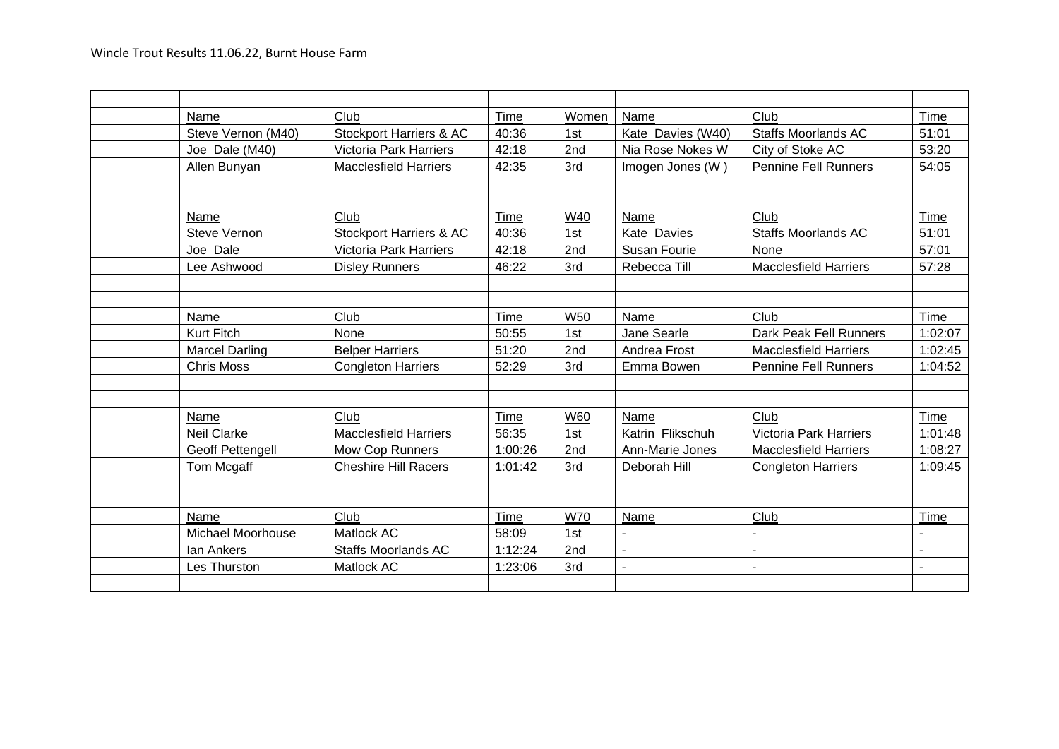| Name                  | Club                               | Time    | Women      | Name              | Club                          | Time           |
|-----------------------|------------------------------------|---------|------------|-------------------|-------------------------------|----------------|
| Steve Vernon (M40)    | <b>Stockport Harriers &amp; AC</b> | 40:36   | 1st        | Kate Davies (W40) | <b>Staffs Moorlands AC</b>    | 51:01          |
| Joe Dale (M40)        | <b>Victoria Park Harriers</b>      | 42:18   | 2nd        | Nia Rose Nokes W  | City of Stoke AC              | 53:20          |
| Allen Bunyan          | <b>Macclesfield Harriers</b>       | 42:35   | 3rd        | Imogen Jones (W)  | <b>Pennine Fell Runners</b>   | 54:05          |
|                       |                                    |         |            |                   |                               |                |
|                       |                                    |         |            |                   |                               |                |
| Name                  | Club                               | Time    | W40        | Name              | Club                          | Time           |
| <b>Steve Vernon</b>   | Stockport Harriers & AC            | 40:36   | 1st        | Kate Davies       | <b>Staffs Moorlands AC</b>    | 51:01          |
| Joe Dale              | <b>Victoria Park Harriers</b>      | 42:18   | 2nd        | Susan Fourie      | None                          | 57:01          |
| Lee Ashwood           | <b>Disley Runners</b>              | 46:22   | 3rd        | Rebecca Till      | <b>Macclesfield Harriers</b>  | 57:28          |
|                       |                                    |         |            |                   |                               |                |
|                       |                                    |         |            |                   |                               |                |
| Name                  | Club                               | Time    | <b>W50</b> | Name              | Club                          | Time           |
| <b>Kurt Fitch</b>     | None                               | 50:55   | 1st        | Jane Searle       | Dark Peak Fell Runners        | 1:02:07        |
| <b>Marcel Darling</b> | <b>Belper Harriers</b>             | 51:20   | 2nd        | Andrea Frost      | <b>Macclesfield Harriers</b>  | 1:02:45        |
| <b>Chris Moss</b>     | <b>Congleton Harriers</b>          | 52:29   | 3rd        | Emma Bowen        | <b>Pennine Fell Runners</b>   | 1:04:52        |
|                       |                                    |         |            |                   |                               |                |
|                       |                                    |         |            |                   |                               |                |
| Name                  | Club                               | Time    | <b>W60</b> | Name              | Club                          | Time           |
| <b>Neil Clarke</b>    | <b>Macclesfield Harriers</b>       | 56:35   | 1st        | Katrin Flikschuh  | <b>Victoria Park Harriers</b> | 1:01:48        |
| Geoff Pettengell      | Mow Cop Runners                    | 1:00:26 | 2nd        | Ann-Marie Jones   | <b>Macclesfield Harriers</b>  | 1:08:27        |
| Tom Mcgaff            | <b>Cheshire Hill Racers</b>        | 1:01:42 | 3rd        | Deborah Hill      | <b>Congleton Harriers</b>     | 1:09:45        |
|                       |                                    |         |            |                   |                               |                |
|                       |                                    |         |            |                   |                               |                |
| Name                  | Club                               | Time    | <b>W70</b> | Name              | Club                          | Time           |
| Michael Moorhouse     | Matlock AC                         | 58:09   | 1st        |                   |                               |                |
| <b>Ian Ankers</b>     | <b>Staffs Moorlands AC</b>         | 1:12:24 | 2nd        | $\blacksquare$    | $\blacksquare$                |                |
| Les Thurston          | Matlock AC                         | 1:23:06 | 3rd        | $\blacksquare$    | $\blacksquare$                | $\overline{a}$ |
|                       |                                    |         |            |                   |                               |                |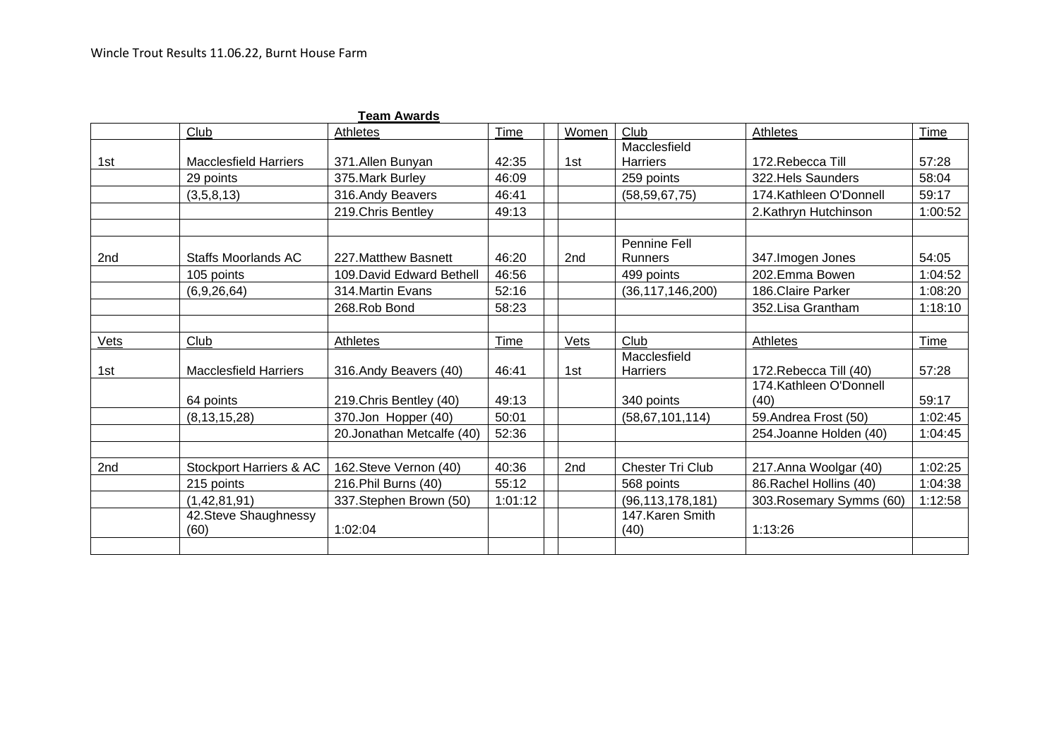|      |                               | <b>Team Awards</b>         |         |                 |                                 |                          |         |
|------|-------------------------------|----------------------------|---------|-----------------|---------------------------------|--------------------------|---------|
|      | Club                          | Athletes                   | Time    | Women           | Club                            | Athletes                 | Time    |
|      |                               |                            |         |                 | Macclesfield                    |                          |         |
| 1st  | <b>Macclesfield Harriers</b>  | 371.Allen Bunyan           | 42:35   | 1st             | <b>Harriers</b>                 | 172. Rebecca Till        | 57:28   |
|      | 29 points                     | 375. Mark Burley           | 46:09   |                 | 259 points                      | 322. Hels Saunders       | 58:04   |
|      | (3,5,8,13)                    | 316.Andy Beavers           | 46:41   |                 | (58, 59, 67, 75)                | 174. Kathleen O'Donnell  | 59:17   |
|      |                               | 219. Chris Bentley         | 49:13   |                 |                                 | 2.Kathryn Hutchinson     | 1:00:52 |
|      |                               |                            |         |                 | Pennine Fell                    |                          |         |
| 2nd  | <b>Staffs Moorlands AC</b>    | 227. Matthew Basnett       | 46:20   | 2 <sub>nd</sub> | <b>Runners</b>                  | 347. Imogen Jones        | 54:05   |
|      | 105 points                    | 109. David Edward Bethell  | 46:56   |                 | 499 points                      | 202.Emma Bowen           | 1:04:52 |
|      | (6,9,26,64)                   | 314. Martin Evans          | 52:16   |                 | (36, 117, 146, 200)             | 186. Claire Parker       | 1:08:20 |
|      |                               | 268.Rob Bond               | 58:23   |                 |                                 | 352. Lisa Grantham       | 1:18:10 |
| Vets | Club                          | Athletes                   | Time    | Vets            | Club                            | Athletes                 | Time    |
| 1st  | <b>Macclesfield Harriers</b>  | 316.Andy Beavers (40)      | 46:41   | 1st             | Macclesfield<br><b>Harriers</b> | 172. Rebecca Till (40)   | 57:28   |
|      |                               |                            |         |                 |                                 | 174. Kathleen O'Donnell  |         |
|      | 64 points                     | 219. Chris Bentley (40)    | 49:13   |                 | 340 points                      | (40)                     | 59:17   |
|      | (8, 13, 15, 28)               | 370.Jon Hopper (40)        | 50:01   |                 | (58, 67, 101, 114)              | 59.Andrea Frost (50)     | 1:02:45 |
|      |                               | 20. Jonathan Metcalfe (40) | 52:36   |                 |                                 | 254. Joanne Holden (40)  | 1:04:45 |
|      |                               |                            |         |                 |                                 |                          |         |
| 2nd  | Stockport Harriers & AC       | 162. Steve Vernon (40)     | 40:36   | 2nd             | <b>Chester Tri Club</b>         | 217.Anna Woolgar (40)    | 1:02:25 |
|      | 215 points                    | 216. Phil Burns (40)       | 55:12   |                 | 568 points                      | 86. Rachel Hollins (40)  | 1:04:38 |
|      | (1,42,81,91)                  | 337. Stephen Brown (50)    | 1:01:12 |                 | (96, 113, 178, 181)             | 303. Rosemary Symms (60) | 1:12:58 |
|      | 42. Steve Shaughnessy<br>(60) | 1:02:04                    |         |                 | 147. Karen Smith<br>(40)        | 1:13:26                  |         |
|      |                               |                            |         |                 |                                 |                          |         |